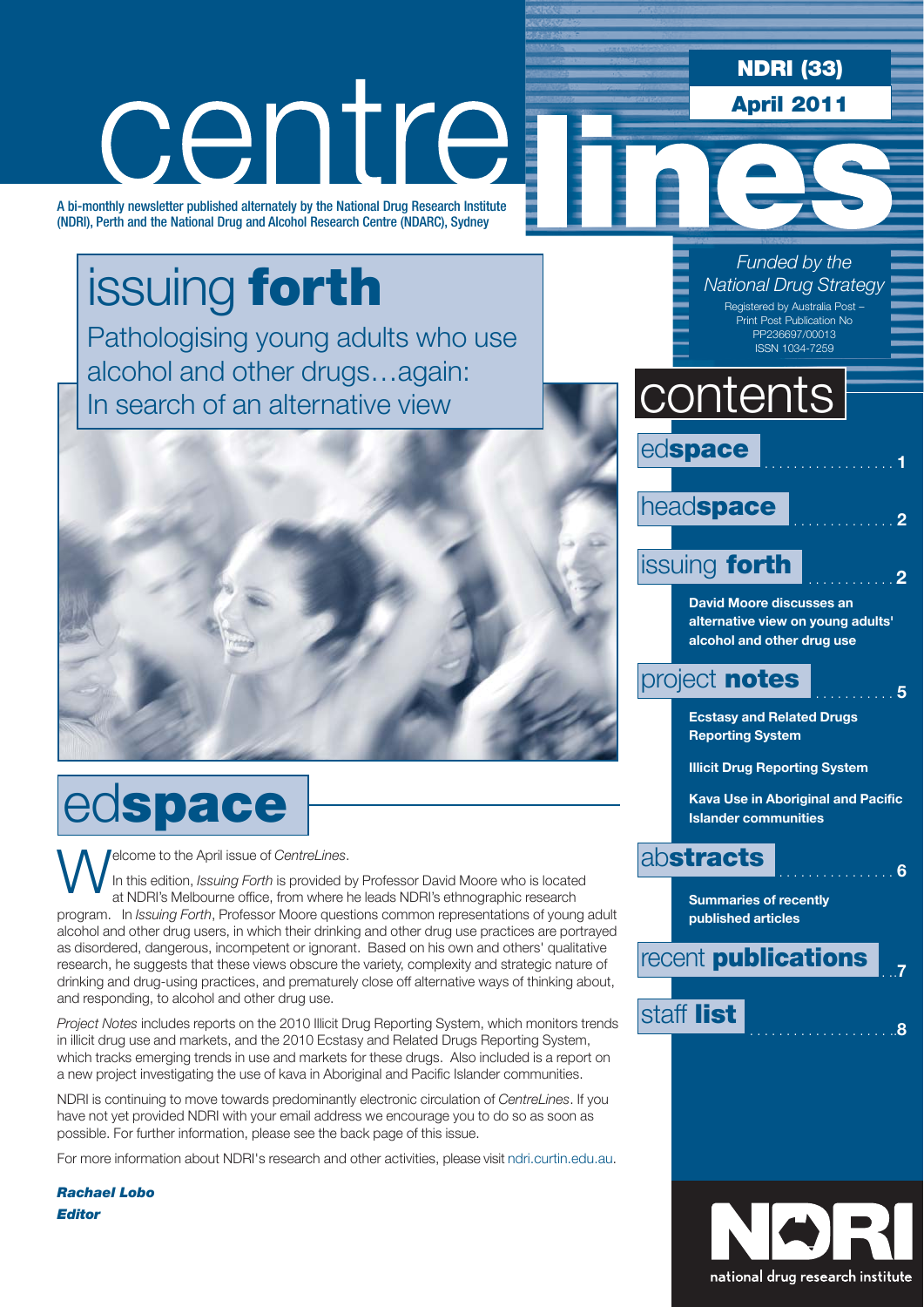**NDRI (33) April 2011**

*Funded by the* 

# centre

A bi-monthly newsletter published alternately by the National Drug Research Institute (NDRI), Perth and the National Drug and Alcohol Research Centre (NDARC), Sydney

issuing **forth** Pathologising young adults who use alcohol and other drugs…again: In search of an alternative view



# ed**space**

**Welcome to the April issue of** *CentreLines*.<br>In this edition, *Issuing Forth* is provided by at NDRI's Melbourne office, from where h In this edition, *Issuing Forth* is provided by Professor David Moore who is located at NDRI's Melbourne office, from where he leads NDRI's ethnographic research program. In *Issuing Forth*, Professor Moore questions common representations of young adult alcohol and other drug users, in which their drinking and other drug use practices are portrayed as disordered, dangerous, incompetent or ignorant. Based on his own and others' qualitative research, he suggests that these views obscure the variety, complexity and strategic nature of drinking and drug-using practices, and prematurely close off alternative ways of thinking about, and responding, to alcohol and other drug use.

*Project Notes* includes reports on the 2010 Illicit Drug Reporting System, which monitors trends in illicit drug use and markets, and the 2010 Ecstasy and Related Drugs Reporting System, which tracks emerging trends in use and markets for these drugs. Also included is a report on a new project investigating the use of kava in Aboriginal and Pacific Islander communities.

NDRI is continuing to move towards predominantly electronic circulation of *CentreLines*. If you have not yet provided NDRI with your email address we encourage you to do so as soon as possible. For further information, please see the back page of this issue.

For more information about NDRI's research and other activities, please visit ndri.curtin.edu.au.

*Rachael Lobo Editor*

 $edspace$ head**space** . . . . . . . . . . . . . . **<sup>2</sup>** issuing **forth** . . . . . . . . . . . . **<sup>2</sup> David Moore discusses an alternative view on young adults' alcohol and other drug use** project **notes .** . . . . . 5 **Ecstasy and Related Drugs**  contents *National Drug Strategy* Registered by Australia Post – Print Post Publication No PP236697/00013 ISSN 1034-7259

**Reporting System** 

**Illicit Drug Reporting System**

**Kava Use in Aboriginal and Pacific Islander communities** 

### ab**stracts** . . . . . . . . . . . . . . . . **<sup>6</sup>**

**Summaries of recently published articles**

**recent publications** 

staff **list** . . . . . . . . . . . . . . . . . . . ..**<sup>8</sup>**

national drug research institute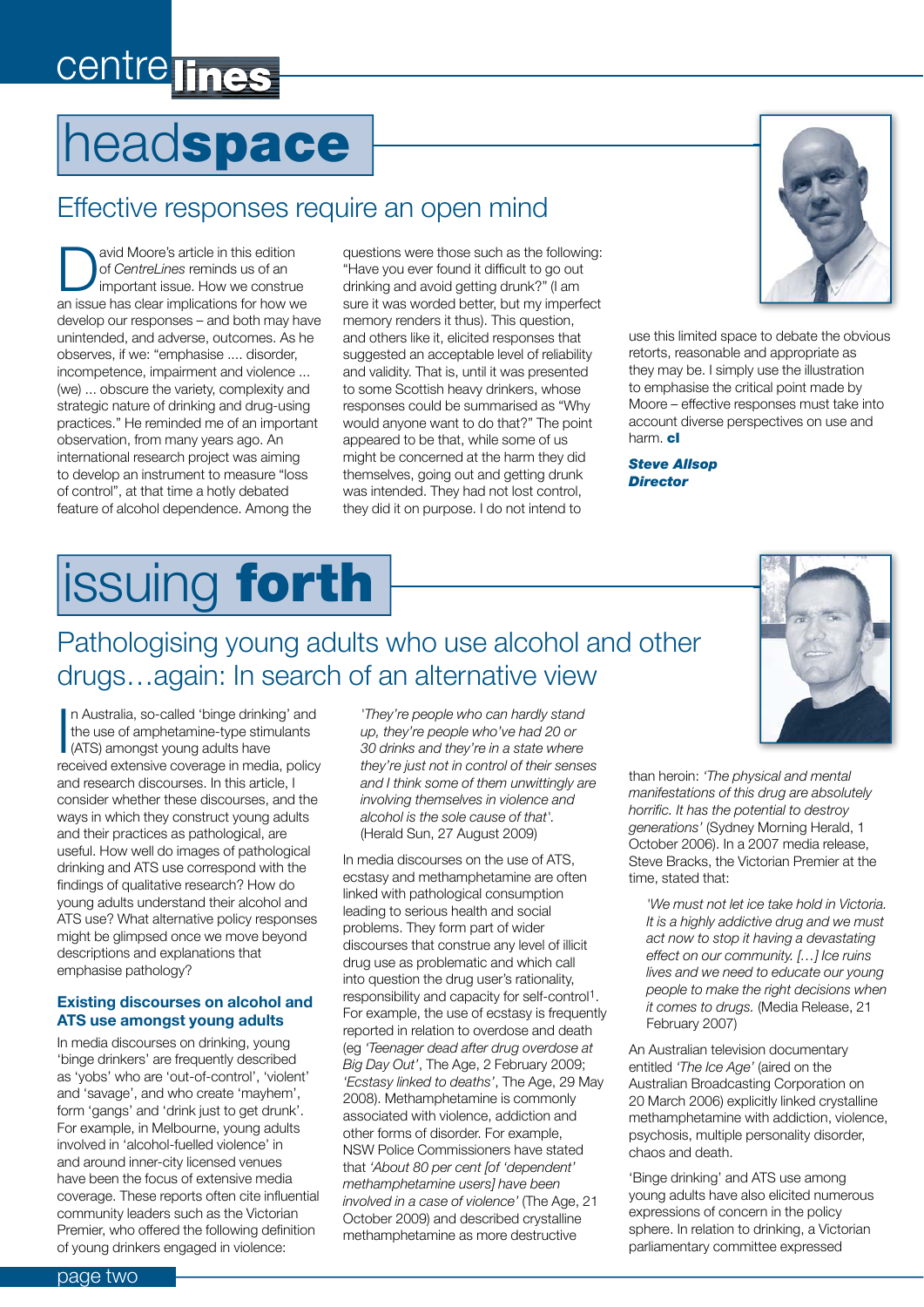# centre lines

# head**space**

### Effective responses require an open mind

**D**<br> **Example 19** of CentreLines reminds us of an<br>
important issue. How we construe<br> **Solution** for bouleurs of *CentreLines* reminds us of an an issue has clear implications for how we develop our responses – and both may have unintended, and adverse, outcomes. As he observes, if we: "emphasise .... disorder, incompetence, impairment and violence ... (we) ... obscure the variety, complexity and strategic nature of drinking and drug-using practices." He reminded me of an important observation, from many years ago. An international research project was aiming to develop an instrument to measure "loss of control", at that time a hotly debated feature of alcohol dependence. Among the

questions were those such as the following: "Have you ever found it difficult to go out drinking and avoid getting drunk?" (I am sure it was worded better, but my imperfect memory renders it thus). This question, and others like it, elicited responses that suggested an acceptable level of reliability and validity. That is, until it was presented to some Scottish heavy drinkers, whose responses could be summarised as "Why would anyone want to do that?" The point appeared to be that, while some of us might be concerned at the harm they did themselves, going out and getting drunk was intended. They had not lost control, they did it on purpose. I do not intend to



use this limited space to debate the obvious retorts, reasonable and appropriate as they may be. I simply use the illustration to emphasise the critical point made by Moore – effective responses must take into account diverse perspectives on use and harm. **cl**

*Steve Allsop Director*

# issuing **forth**

### Pathologising young adults who use alcohol and other drugs…again: In search of an alternative view



I<br>I<br>I<br>I n Australia, so-called 'binge drinking' and the use of amphetamine-type stimulants (ATS) amongst young adults have received extensive coverage in media, policy and research discourses. In this article, I consider whether these discourses, and the ways in which they construct young adults and their practices as pathological, are useful. How well do images of pathological drinking and ATS use correspond with the findings of qualitative research? How do young adults understand their alcohol and ATS use? What alternative policy responses might be glimpsed once we move beyond descriptions and explanations that emphasise pathology?

#### **Existing discourses on alcohol and ATS use amongst young adults**

In media discourses on drinking, young 'binge drinkers' are frequently described as 'yobs' who are 'out-of-control', 'violent' and 'savage', and who create 'mayhem', form 'gangs' and 'drink just to get drunk'. For example, in Melbourne, young adults involved in 'alcohol-fuelled violence' in and around inner-city licensed venues have been the focus of extensive media coverage. These reports often cite influential community leaders such as the Victorian Premier, who offered the following definition of young drinkers engaged in violence:

*'They're people who can hardly stand up, they're people who've had 20 or 30 drinks and they're in a state where they're just not in control of their senses and I think some of them unwittingly are involving themselves in violence and alcohol is the sole cause of that'.* (Herald Sun, 27 August 2009)

In media discourses on the use of ATS, ecstasy and methamphetamine are often linked with pathological consumption leading to serious health and social problems. They form part of wider discourses that construe any level of illicit drug use as problematic and which call into question the drug user's rationality, responsibility and capacity for self-control1. For example, the use of ecstasy is frequently reported in relation to overdose and death (eg *'Teenager dead after drug overdose at Big Day Out'*, The Age, 2 February 2009; *'Ecstasy linked to deaths'*, The Age, 29 May 2008). Methamphetamine is commonly associated with violence, addiction and other forms of disorder. For example, NSW Police Commissioners have stated that *'About 80 per cent [of 'dependent' methamphetamine users] have been involved in a case of violence'* (The Age, 21 October 2009) and described crystalline methamphetamine as more destructive

than heroin: *'The physical and mental manifestations of this drug are absolutely horrific. It has the potential to destroy generations'* (Sydney Morning Herald, 1 October 2006). In a 2007 media release, Steve Bracks, the Victorian Premier at the time, stated that:

*'We must not let ice take hold in Victoria. It is a highly addictive drug and we must act now to stop it having a devastating effect on our community. […] Ice ruins lives and we need to educate our young people to make the right decisions when it comes to drugs.* (Media Release, 21 February 2007)

An Australian television documentary entitled *'The Ice Age'* (aired on the Australian Broadcasting Corporation on 20 March 2006) explicitly linked crystalline methamphetamine with addiction, violence, psychosis, multiple personality disorder, chaos and death.

'Binge drinking' and ATS use among young adults have also elicited numerous expressions of concern in the policy sphere. In relation to drinking, a Victorian parliamentary committee expressed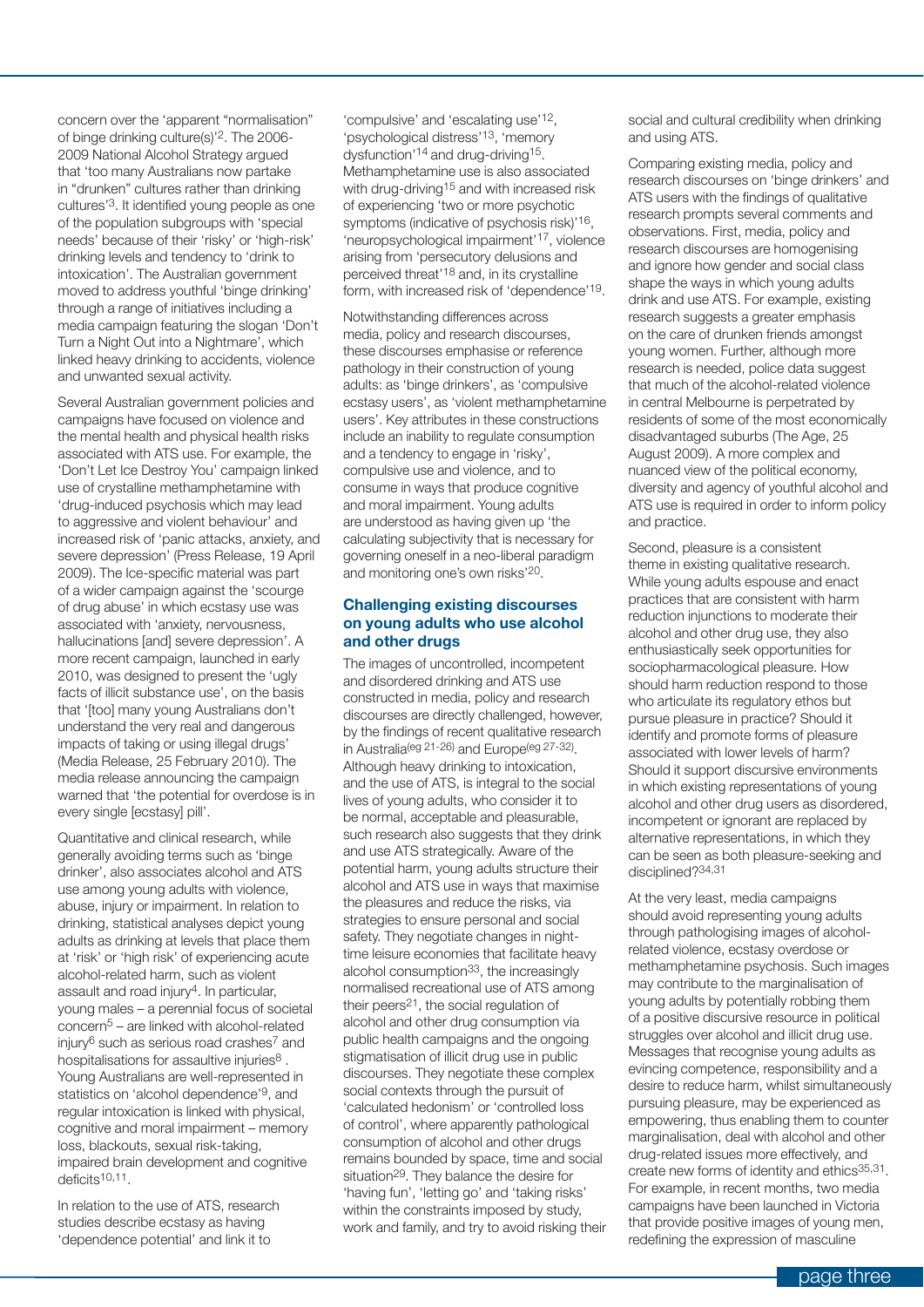concern over the 'apparent "normalisation" of binge drinking culture(s)'2. The 2006- 2009 National Alcohol Strategy argued that 'too many Australians now partake in "drunken" cultures rather than drinking cultures'3. It identified young people as one of the population subgroups with 'special needs' because of their 'risky' or 'high-risk' drinking levels and tendency to 'drink to intoxication'. The Australian government moved to address youthful 'binge drinking' through a range of initiatives including a media campaign featuring the slogan 'Don't Turn a Night Out into a Nightmare', which linked heavy drinking to accidents, violence and unwanted sexual activity.

Several Australian government policies and campaigns have focused on violence and the mental health and physical health risks associated with ATS use. For example, the 'Don't Let Ice Destroy You' campaign linked use of crystalline methamphetamine with 'drug-induced psychosis which may lead to aggressive and violent behaviour' and increased risk of 'panic attacks, anxiety, and severe depression' (Press Release, 19 April 2009). The Ice-specific material was part of a wider campaign against the 'scourge of drug abuse' in which ecstasy use was associated with 'anxiety, nervousness, hallucinations [and] severe depression'. A more recent campaign, launched in early 2010, was designed to present the 'ugly facts of illicit substance use', on the basis that '[too] many young Australians don't understand the very real and dangerous impacts of taking or using illegal drugs' (Media Release, 25 February 2010). The media release announcing the campaign warned that 'the potential for overdose is in every single [ecstasy] pill'.

Quantitative and clinical research, while generally avoiding terms such as 'binge drinker', also associates alcohol and ATS use among young adults with violence, abuse, injury or impairment. In relation to drinking, statistical analyses depict young adults as drinking at levels that place them at 'risk' or 'high risk' of experiencing acute alcohol-related harm, such as violent assault and road injury4. In particular, young males – a perennial focus of societal  $\text{concern}^5$  – are linked with alcohol-related injury6 such as serious road crashes7 and hospitalisations for assaultive injuries<sup>8</sup>. Young Australians are well-represented in statistics on 'alcohol dependence'9, and regular intoxication is linked with physical, cognitive and moral impairment – memory loss, blackouts, sexual risk-taking, impaired brain development and cognitive deficits10,11.

In relation to the use of ATS, research studies describe ecstasy as having 'dependence potential' and link it to

'compulsive' and 'escalating use'12, 'psychological distress'13, 'memory dysfunction'14 and drug-driving15. Methamphetamine use is also associated with drug-driving<sup>15</sup> and with increased risk of experiencing 'two or more psychotic symptoms (indicative of psychosis risk)'16, 'neuropsychological impairment'17, violence arising from 'persecutory delusions and perceived threat'18 and, in its crystalline form, with increased risk of 'dependence'19.

Notwithstanding differences across media, policy and research discourses, these discourses emphasise or reference pathology in their construction of young adults: as 'binge drinkers', as 'compulsive ecstasy users', as 'violent methamphetamine users'. Key attributes in these constructions include an inability to regulate consumption and a tendency to engage in 'risky', compulsive use and violence, and to consume in ways that produce cognitive and moral impairment. Young adults are understood as having given up 'the calculating subjectivity that is necessary for governing oneself in a neo-liberal paradigm and monitoring one's own risks'20.

#### **Challenging existing discourses on young adults who use alcohol and other drugs**

The images of uncontrolled, incompetent and disordered drinking and ATS use constructed in media, policy and research discourses are directly challenged, however, by the findings of recent qualitative research in Australia(eg 21-26) and Europe(eg 27-32). Although heavy drinking to intoxication, and the use of ATS, is integral to the social lives of young adults, who consider it to be normal, acceptable and pleasurable, such research also suggests that they drink and use ATS strategically. Aware of the potential harm, young adults structure their alcohol and ATS use in ways that maximise the pleasures and reduce the risks, via strategies to ensure personal and social safety. They negotiate changes in nighttime leisure economies that facilitate heavy alcohol consumption<sup>33</sup>, the increasingly normalised recreational use of ATS among their peers21, the social regulation of alcohol and other drug consumption via public health campaigns and the ongoing stigmatisation of illicit drug use in public discourses. They negotiate these complex social contexts through the pursuit of 'calculated hedonism' or 'controlled loss of control', where apparently pathological consumption of alcohol and other drugs remains bounded by space, time and social situation<sup>29</sup>. They balance the desire for 'having fun', 'letting go' and 'taking risks' within the constraints imposed by study, work and family, and try to avoid risking their social and cultural credibility when drinking and using ATS.

Comparing existing media, policy and research discourses on 'binge drinkers' and ATS users with the findings of qualitative research prompts several comments and observations. First, media, policy and research discourses are homogenising and ignore how gender and social class shape the ways in which young adults drink and use ATS. For example, existing research suggests a greater emphasis on the care of drunken friends amongst young women. Further, although more research is needed, police data suggest that much of the alcohol-related violence in central Melbourne is perpetrated by residents of some of the most economically disadvantaged suburbs (The Age, 25 August 2009). A more complex and nuanced view of the political economy, diversity and agency of youthful alcohol and ATS use is required in order to inform policy and practice.

Second, pleasure is a consistent theme in existing qualitative research. While young adults espouse and enact practices that are consistent with harm reduction injunctions to moderate their alcohol and other drug use, they also enthusiastically seek opportunities for sociopharmacological pleasure. How should harm reduction respond to those who articulate its regulatory ethos but pursue pleasure in practice? Should it identify and promote forms of pleasure associated with lower levels of harm? Should it support discursive environments in which existing representations of young alcohol and other drug users as disordered, incompetent or ignorant are replaced by alternative representations, in which they can be seen as both pleasure-seeking and disciplined?34,31

At the very least, media campaigns should avoid representing young adults through pathologising images of alcoholrelated violence, ecstasy overdose or methamphetamine psychosis. Such images may contribute to the marginalisation of young adults by potentially robbing them of a positive discursive resource in political struggles over alcohol and illicit drug use. Messages that recognise young adults as evincing competence, responsibility and a desire to reduce harm, whilst simultaneously pursuing pleasure, may be experienced as empowering, thus enabling them to counter marginalisation, deal with alcohol and other drug-related issues more effectively, and create new forms of identity and ethics<sup>35,31</sup>. For example, in recent months, two media campaigns have been launched in Victoria that provide positive images of young men, redefining the expression of masculine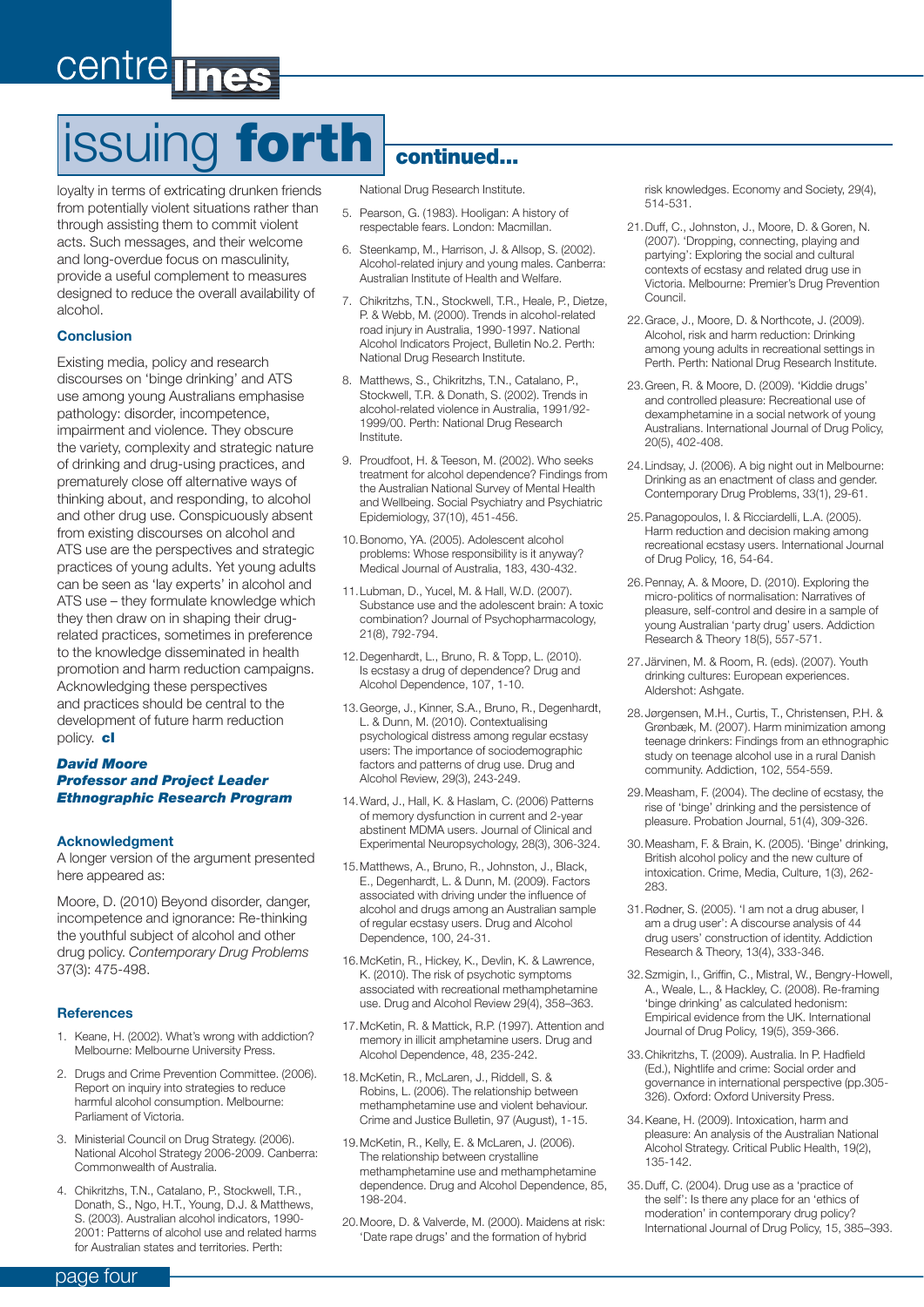# centre

# issuing **forth continued...**

loyalty in terms of extricating drunken friends from potentially violent situations rather than through assisting them to commit violent acts. Such messages, and their welcome and long-overdue focus on masculinity, provide a useful complement to measures designed to reduce the overall availability of alcohol.

#### **Conclusion**

Existing media, policy and research discourses on 'binge drinking' and ATS use among young Australians emphasise pathology: disorder, incompetence, impairment and violence. They obscure the variety, complexity and strategic nature of drinking and drug-using practices, and prematurely close off alternative ways of thinking about, and responding, to alcohol and other drug use. Conspicuously absent from existing discourses on alcohol and ATS use are the perspectives and strategic practices of young adults. Yet young adults can be seen as 'lay experts' in alcohol and ATS use – they formulate knowledge which they then draw on in shaping their drugrelated practices, sometimes in preference to the knowledge disseminated in health promotion and harm reduction campaigns. Acknowledging these perspectives and practices should be central to the development of future harm reduction policy. **cl**

#### *David Moore Professor and Project Leader Ethnographic Research Program*

#### **Acknowledgment**

A longer version of the argument presented here appeared as:

Moore, D. (2010) Beyond disorder, danger, incompetence and ignorance: Re-thinking the youthful subject of alcohol and other drug policy. *Contemporary Drug Problems*  37(3): 475-498.

#### **References**

- 1. Keane, H. (2002). What's wrong with addiction? Melbourne: Melbourne University Press.
- 2. Drugs and Crime Prevention Committee. (2006). Report on inquiry into strategies to reduce harmful alcohol consumption. Melbourne: Parliament of Victoria.
- 3. Ministerial Council on Drug Strategy. (2006). National Alcohol Strategy 2006-2009. Canberra: Commonwealth of Australia.
- 4. Chikritzhs, T.N., Catalano, P., Stockwell, T.R., Donath, S., Ngo, H.T., Young, D.J. & Matthews, S. (2003). Australian alcohol indicators, 1990- 2001: Patterns of alcohol use and related harms for Australian states and territories. Perth:

National Drug Research Institute.

- 5. Pearson, G. (1983). Hooligan: A history of respectable fears. London: Macmillan.
- 6. Steenkamp, M., Harrison, J. & Allsop, S. (2002). Alcohol-related injury and young males. Canberra: Australian Institute of Health and Welfare.
- 7. Chikritzhs, T.N., Stockwell, T.R., Heale, P., Dietze, P. & Webb, M. (2000). Trends in alcohol-related road injury in Australia, 1990-1997. National Alcohol Indicators Project, Bulletin No.2. Perth: National Drug Research Institute.
- 8. Matthews, S., Chikritzhs, T.N., Catalano, P., Stockwell, T.R. & Donath, S. (2002). Trends in alcohol-related violence in Australia, 1991/92- 1999/00. Perth: National Drug Research Institute.
- 9. Proudfoot, H. & Teeson, M. (2002). Who seeks treatment for alcohol dependence? Findings from the Australian National Survey of Mental Health and Wellbeing. Social Psychiatry and Psychiatric Epidemiology, 37(10), 451-456.
- 10. Bonomo, YA. (2005). Adolescent alcohol problems: Whose responsibility is it anyway? Medical Journal of Australia, 183, 430-432.
- 11. Lubman, D., Yucel, M. & Hall, W.D. (2007). Substance use and the adolescent brain: A toxic combination? Journal of Psychopharmacology, 21(8), 792-794.
- 12. Degenhardt, L., Bruno, R. & Topp, L. (2010). Is ecstasy a drug of dependence? Drug and Alcohol Dependence, 107, 1-10.
- 13. George, J., Kinner, S.A., Bruno, R., Degenhardt, L. & Dunn, M. (2010). Contextualising psychological distress among regular ecstasy users: The importance of sociodemographic factors and patterns of drug use. Drug and Alcohol Review, 29(3), 243-249.
- 14. Ward, J., Hall, K. & Haslam, C. (2006) Patterns of memory dysfunction in current and 2-year abstinent MDMA users. Journal of Clinical and Experimental Neuropsychology, 28(3), 306-324.
- 15. Matthews, A., Bruno, R., Johnston, J., Black, E., Degenhardt, L. & Dunn, M. (2009). Factors associated with driving under the influence of alcohol and drugs among an Australian sample of regular ecstasy users. Drug and Alcohol Dependence, 100, 24-31.
- 16. McKetin, R., Hickey, K., Devlin, K. & Lawrence, K. (2010). The risk of psychotic symptoms associated with recreational methamphetamine use. Drug and Alcohol Review 29(4), 358–363.
- 17. McKetin, R. & Mattick, R.P. (1997). Attention and memory in illicit amphetamine users. Drug and Alcohol Dependence, 48, 235-242.
- 18. McKetin, R., McLaren, J., Riddell, S. & Robins, L. (2006). The relationship between methamphetamine use and violent behaviour. Crime and Justice Bulletin, 97 (August), 1-15.
- 19. McKetin, R., Kelly, E. & McLaren, J. (2006). The relationship between crystalline methamphetamine use and methamphetamine dependence. Drug and Alcohol Dependence, 85, 198-204.
- 20. Moore, D. & Valverde, M. (2000). Maidens at risk: 'Date rape drugs' and the formation of hybrid

risk knowledges. Economy and Society, 29(4), 514-531.

- 21. Duff, C., Johnston, J., Moore, D. & Goren, N. (2007). 'Dropping, connecting, playing and partying': Exploring the social and cultural contexts of ecstasy and related drug use in Victoria. Melbourne: Premier's Drug Prevention Council.
- 22. Grace, J., Moore, D. & Northcote, J. (2009). Alcohol, risk and harm reduction: Drinking among young adults in recreational settings in Perth. Perth: National Drug Research Institute.
- 23. Green, R. & Moore, D. (2009). 'Kiddie drugs' and controlled pleasure: Recreational use of dexamphetamine in a social network of young Australians. International Journal of Drug Policy, 20(5), 402-408.
- 24. Lindsay, J. (2006). A big night out in Melbourne: Drinking as an enactment of class and gender. Contemporary Drug Problems, 33(1), 29-61.
- 25. Panagopoulos, I. & Ricciardelli, L.A. (2005). Harm reduction and decision making among recreational ecstasy users. International Journal of Drug Policy, 16, 54-64.
- 26. Pennay, A. & Moore, D. (2010). Exploring the micro-politics of normalisation: Narratives of pleasure, self-control and desire in a sample of young Australian 'party drug' users. Addiction Research & Theory 18(5), 557-571.
- 27. Järvinen, M. & Room, R. (eds). (2007). Youth drinking cultures: European experiences. Aldershot: Ashgate.
- 28. Jørgensen, M.H., Curtis, T., Christensen, P.H. & Grønbæk, M. (2007). Harm minimization among teenage drinkers: Findings from an ethnographic study on teenage alcohol use in a rural Danish community. Addiction, 102, 554-559.
- 29. Measham, F. (2004). The decline of ecstasy, the rise of 'binge' drinking and the persistence of pleasure. Probation Journal, 51(4), 309-326.
- 30. Measham, F. & Brain, K. (2005). 'Binge' drinking, British alcohol policy and the new culture of intoxication. Crime, Media, Culture, 1(3), 262- 283.
- 31. Rødner, S. (2005). 'I am not a drug abuser, I am a drug user': A discourse analysis of 44 drug users' construction of identity. Addiction Research & Theory, 13(4), 333-346.
- 32. Szmigin, I., Griffin, C., Mistral, W., Bengry-Howell, A., Weale, L., & Hackley, C. (2008). Re-framing 'binge drinking' as calculated hedonism: Empirical evidence from the UK. International Journal of Drug Policy, 19(5), 359-366.
- 33. Chikritzhs, T. (2009). Australia. In P. Hadfield (Ed.), Nightlife and crime: Social order and governance in international perspective (pp.305- 326). Oxford: Oxford University Press.
- 34. Keane, H. (2009). Intoxication, harm and pleasure: An analysis of the Australian National Alcohol Strategy. Critical Public Health, 19(2), 135-142.
- 35. Duff, C. (2004). Drug use as a 'practice of the self': Is there any place for an 'ethics of moderation' in contemporary drug policy? International Journal of Drug Policy, 15, 385–393.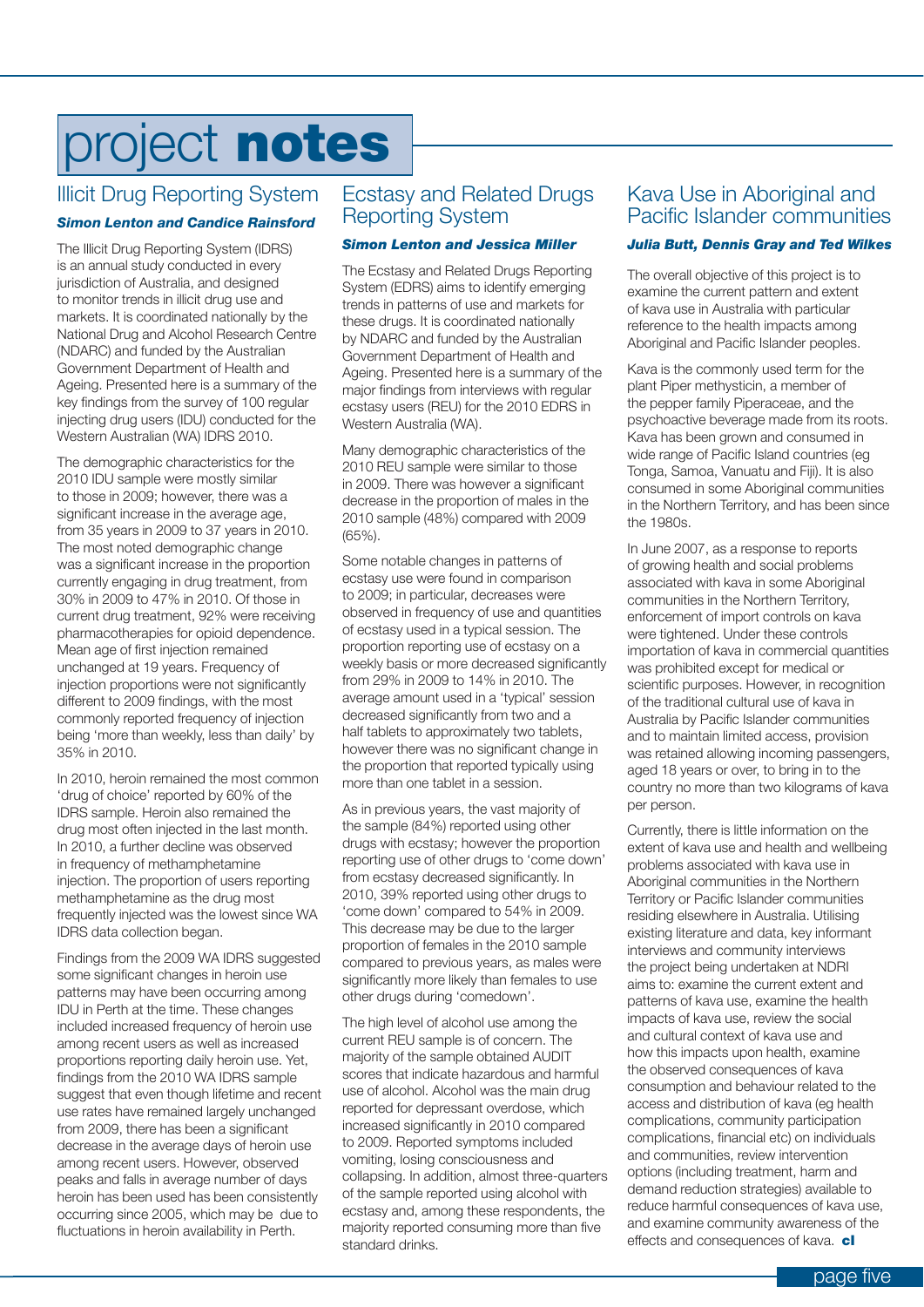# project **notes**

### Illicit Drug Reporting System

#### *Simon Lenton and Candice Rainsford*

The Illicit Drug Reporting System (IDRS) is an annual study conducted in every jurisdiction of Australia, and designed to monitor trends in illicit drug use and markets. It is coordinated nationally by the National Drug and Alcohol Research Centre (NDARC) and funded by the Australian Government Department of Health and Ageing. Presented here is a summary of the key findings from the survey of 100 regular injecting drug users (IDU) conducted for the Western Australian (WA) IDRS 2010.

The demographic characteristics for the 2010 IDU sample were mostly similar to those in 2009; however, there was a significant increase in the average age, from 35 years in 2009 to 37 years in 2010. The most noted demographic change was a significant increase in the proportion currently engaging in drug treatment, from 30% in 2009 to 47% in 2010. Of those in current drug treatment, 92% were receiving pharmacotherapies for opioid dependence. Mean age of first injection remained unchanged at 19 years. Frequency of injection proportions were not significantly different to 2009 findings, with the most commonly reported frequency of injection being 'more than weekly, less than daily' by 35% in 2010.

In 2010, heroin remained the most common 'drug of choice' reported by 60% of the IDRS sample. Heroin also remained the drug most often injected in the last month. In 2010, a further decline was observed in frequency of methamphetamine injection. The proportion of users reporting methamphetamine as the drug most frequently injected was the lowest since WA IDRS data collection began.

Findings from the 2009 WA IDRS suggested some significant changes in heroin use patterns may have been occurring among IDU in Perth at the time. These changes included increased frequency of heroin use among recent users as well as increased proportions reporting daily heroin use. Yet, findings from the 2010 WA IDRS sample suggest that even though lifetime and recent use rates have remained largely unchanged from 2009, there has been a significant decrease in the average days of heroin use among recent users. However, observed peaks and falls in average number of days heroin has been used has been consistently occurring since 2005, which may be due to fluctuations in heroin availability in Perth.

#### Ecstasy and Related Drugs Reporting System

#### *Simon Lenton and Jessica Miller*

The Ecstasy and Related Drugs Reporting System (EDRS) aims to identify emerging trends in patterns of use and markets for these drugs. It is coordinated nationally by NDARC and funded by the Australian Government Department of Health and Ageing. Presented here is a summary of the major findings from interviews with regular ecstasy users (REU) for the 2010 EDRS in Western Australia (WA).

Many demographic characteristics of the 2010 REU sample were similar to those in 2009. There was however a significant decrease in the proportion of males in the 2010 sample (48%) compared with 2009 (65%).

Some notable changes in patterns of ecstasy use were found in comparison to 2009; in particular, decreases were observed in frequency of use and quantities of ecstasy used in a typical session. The proportion reporting use of ecstasy on a weekly basis or more decreased significantly from 29% in 2009 to 14% in 2010. The average amount used in a 'typical' session decreased significantly from two and a half tablets to approximately two tablets, however there was no significant change in the proportion that reported typically using more than one tablet in a session.

As in previous years, the vast majority of the sample (84%) reported using other drugs with ecstasy; however the proportion reporting use of other drugs to 'come down' from ecstasy decreased significantly. In 2010, 39% reported using other drugs to 'come down' compared to 54% in 2009. This decrease may be due to the larger proportion of females in the 2010 sample compared to previous years, as males were significantly more likely than females to use other drugs during 'comedown'.

The high level of alcohol use among the current REU sample is of concern. The majority of the sample obtained AUDIT scores that indicate hazardous and harmful use of alcohol. Alcohol was the main drug reported for depressant overdose, which increased significantly in 2010 compared to 2009. Reported symptoms included vomiting, losing consciousness and collapsing. In addition, almost three-quarters of the sample reported using alcohol with ecstasy and, among these respondents, the majority reported consuming more than five standard drinks.

#### Kava Use in Aboriginal and Pacific Islander communities

#### *Julia Butt, Dennis Gray and Ted Wilkes*

The overall objective of this project is to examine the current pattern and extent of kava use in Australia with particular reference to the health impacts among Aboriginal and Pacific Islander peoples.

Kava is the commonly used term for the plant Piper methysticin, a member of the pepper family Piperaceae, and the psychoactive beverage made from its roots. Kava has been grown and consumed in wide range of Pacific Island countries (eg Tonga, Samoa, Vanuatu and Fiji). It is also consumed in some Aboriginal communities in the Northern Territory, and has been since the 1980s.

In June 2007, as a response to reports of growing health and social problems associated with kava in some Aboriginal communities in the Northern Territory, enforcement of import controls on kava were tightened. Under these controls importation of kava in commercial quantities was prohibited except for medical or scientific purposes. However, in recognition of the traditional cultural use of kava in Australia by Pacific Islander communities and to maintain limited access, provision was retained allowing incoming passengers, aged 18 years or over, to bring in to the country no more than two kilograms of kava per person.

Currently, there is little information on the extent of kava use and health and wellbeing problems associated with kava use in Aboriginal communities in the Northern Territory or Pacific Islander communities residing elsewhere in Australia. Utilising existing literature and data, key informant interviews and community interviews the project being undertaken at NDRI aims to: examine the current extent and patterns of kava use, examine the health impacts of kava use, review the social and cultural context of kava use and how this impacts upon health, examine the observed consequences of kava consumption and behaviour related to the access and distribution of kava (eg health complications, community participation complications, financial etc) on individuals and communities, review intervention options (including treatment, harm and demand reduction strategies) available to reduce harmful consequences of kava use, and examine community awareness of the effects and consequences of kava. **cl**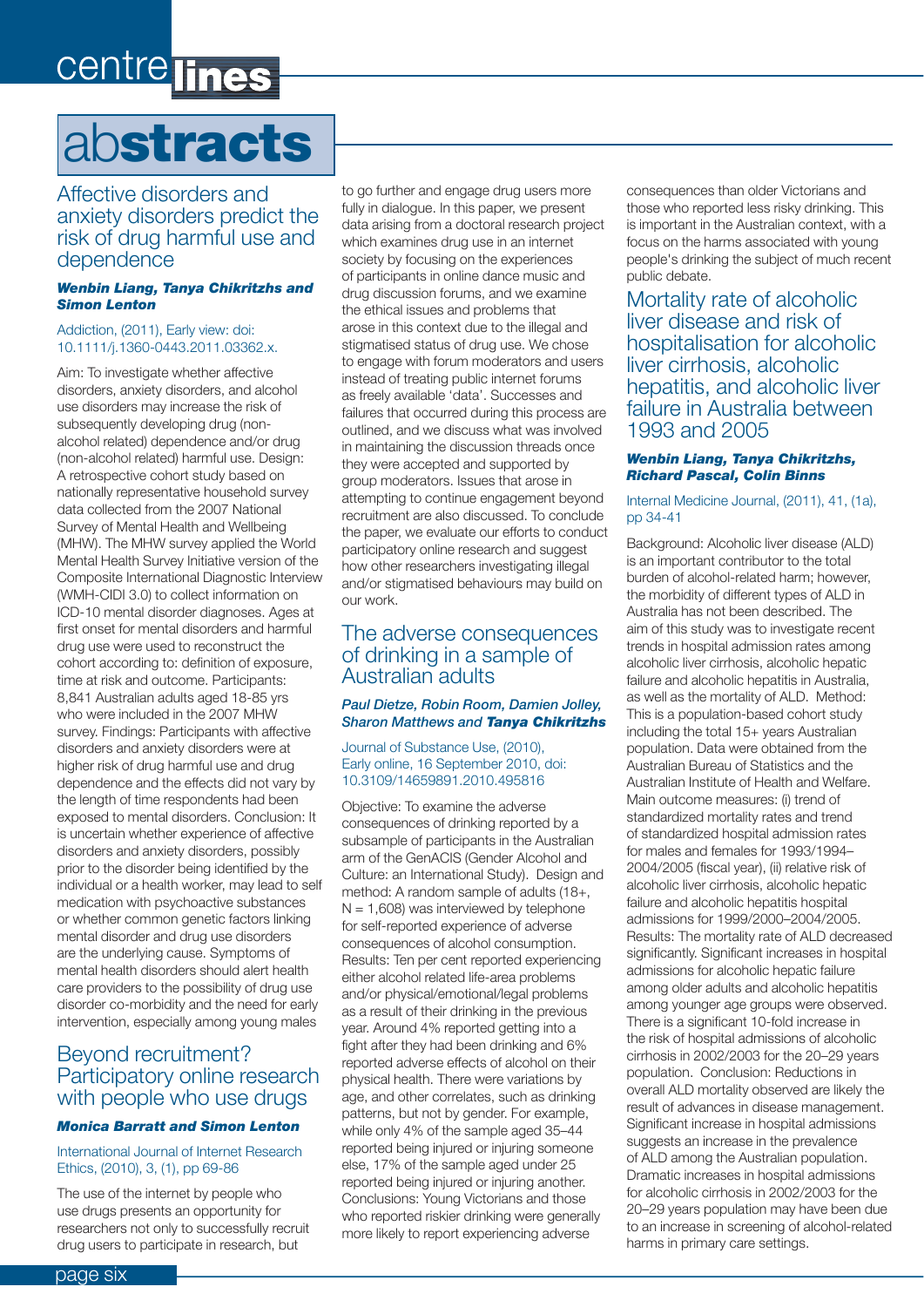# centre lines

### ab**stracts**

Affective disorders and anxiety disorders predict the risk of drug harmful use and dependence

#### *Wenbin Liang, Tanya Chikritzhs and Simon Lenton*

#### Addiction, (2011), Early view: doi: 10.1111/j.1360-0443.2011.03362.x.

Aim: To investigate whether affective disorders, anxiety disorders, and alcohol use disorders may increase the risk of subsequently developing drug (nonalcohol related) dependence and/or drug (non-alcohol related) harmful use. Design: A retrospective cohort study based on nationally representative household survey data collected from the 2007 National Survey of Mental Health and Wellbeing (MHW). The MHW survey applied the World Mental Health Survey Initiative version of the Composite International Diagnostic Interview (WMH-CIDI 3.0) to collect information on ICD-10 mental disorder diagnoses. Ages at first onset for mental disorders and harmful drug use were used to reconstruct the cohort according to: definition of exposure, time at risk and outcome. Participants: 8,841 Australian adults aged 18-85 yrs who were included in the 2007 MHW survey. Findings: Participants with affective disorders and anxiety disorders were at higher risk of drug harmful use and drug dependence and the effects did not vary by the length of time respondents had been exposed to mental disorders. Conclusion: It is uncertain whether experience of affective disorders and anxiety disorders, possibly prior to the disorder being identified by the individual or a health worker, may lead to self medication with psychoactive substances or whether common genetic factors linking mental disorder and drug use disorders are the underlying cause. Symptoms of mental health disorders should alert health care providers to the possibility of drug use disorder co-morbidity and the need for early intervention, especially among young males

#### Beyond recruitment? Participatory online research with people who use drugs

#### *Monica Barratt and Simon Lenton*

#### International Journal of Internet Research Ethics, (2010), 3, (1), pp 69-86

The use of the internet by people who use drugs presents an opportunity for researchers not only to successfully recruit drug users to participate in research, but

to go further and engage drug users more fully in dialogue. In this paper, we present data arising from a doctoral research project which examines drug use in an internet society by focusing on the experiences of participants in online dance music and drug discussion forums, and we examine the ethical issues and problems that arose in this context due to the illegal and stigmatised status of drug use. We chose to engage with forum moderators and users instead of treating public internet forums as freely available 'data'. Successes and failures that occurred during this process are outlined, and we discuss what was involved in maintaining the discussion threads once they were accepted and supported by group moderators. Issues that arose in attempting to continue engagement beyond recruitment are also discussed. To conclude the paper, we evaluate our efforts to conduct participatory online research and suggest how other researchers investigating illegal and/or stigmatised behaviours may build on our work.

#### The adverse consequences of drinking in a sample of Australian adults

#### *Paul Dietze, Robin Room, Damien Jolley, Sharon Matthews and Tanya Chikritzhs*

Journal of Substance Use, (2010), Early online, 16 September 2010, doi: 10.3109/14659891.2010.495816

Objective: To examine the adverse consequences of drinking reported by a subsample of participants in the Australian arm of the GenACIS (Gender Alcohol and Culture: an International Study). Design and method: A random sample of adults (18+,  $N = 1,608$ ) was interviewed by telephone for self-reported experience of adverse consequences of alcohol consumption. Results: Ten per cent reported experiencing either alcohol related life-area problems and/or physical/emotional/legal problems as a result of their drinking in the previous year. Around 4% reported getting into a fight after they had been drinking and 6% reported adverse effects of alcohol on their physical health. There were variations by age, and other correlates, such as drinking patterns, but not by gender. For example, while only 4% of the sample aged 35–44 reported being injured or injuring someone else, 17% of the sample aged under 25 reported being injured or injuring another. Conclusions: Young Victorians and those who reported riskier drinking were generally more likely to report experiencing adverse

consequences than older Victorians and those who reported less risky drinking. This is important in the Australian context, with a focus on the harms associated with young people's drinking the subject of much recent public debate.

Mortality rate of alcoholic liver disease and risk of hospitalisation for alcoholic liver cirrhosis, alcoholic hepatitis, and alcoholic liver failure in Australia between 1993 and 2005

#### *Wenbin Liang, Tanya Chikritzhs, Richard Pascal, Colin Binns*

#### Internal Medicine Journal, (2011), 41, (1a), pp 34-41

Background: Alcoholic liver disease (ALD) is an important contributor to the total burden of alcohol-related harm; however, the morbidity of different types of ALD in Australia has not been described. The aim of this study was to investigate recent trends in hospital admission rates among alcoholic liver cirrhosis, alcoholic hepatic failure and alcoholic hepatitis in Australia, as well as the mortality of ALD. Method: This is a population-based cohort study including the total 15+ years Australian population. Data were obtained from the Australian Bureau of Statistics and the Australian Institute of Health and Welfare. Main outcome measures: (i) trend of standardized mortality rates and trend of standardized hospital admission rates for males and females for 1993/1994– 2004/2005 (fiscal year), (ii) relative risk of alcoholic liver cirrhosis, alcoholic hepatic failure and alcoholic hepatitis hospital admissions for 1999/2000–2004/2005. Results: The mortality rate of ALD decreased significantly. Significant increases in hospital admissions for alcoholic hepatic failure among older adults and alcoholic hepatitis among younger age groups were observed. There is a significant 10-fold increase in the risk of hospital admissions of alcoholic cirrhosis in 2002/2003 for the 20–29 years population. Conclusion: Reductions in overall ALD mortality observed are likely the result of advances in disease management. Significant increase in hospital admissions suggests an increase in the prevalence of ALD among the Australian population. Dramatic increases in hospital admissions for alcoholic cirrhosis in 2002/2003 for the 20–29 years population may have been due to an increase in screening of alcohol-related harms in primary care settings.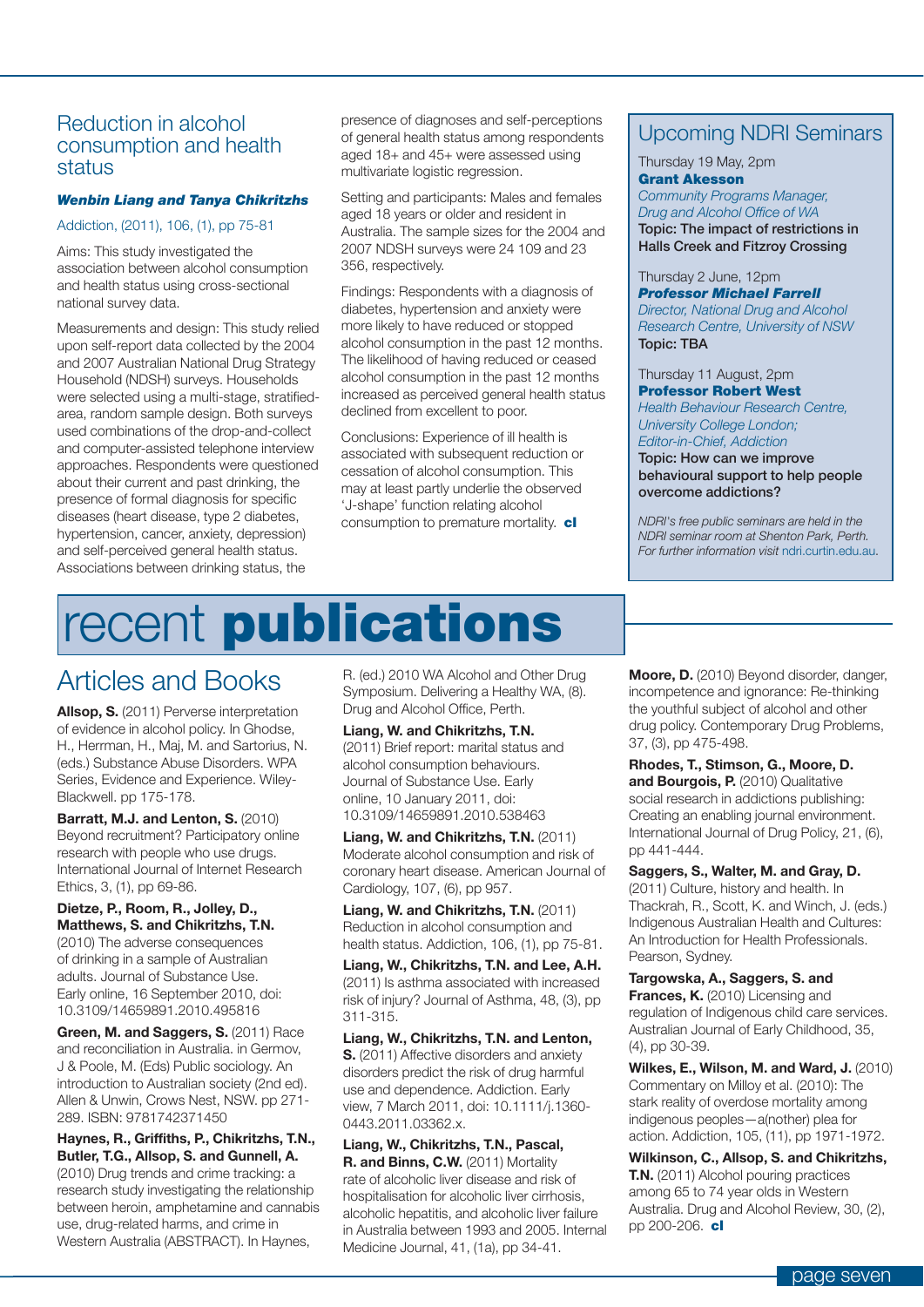#### Reduction in alcohol consumption and health status

#### *Wenbin Liang and Tanya Chikritzhs*

#### Addiction, (2011), 106, (1), pp 75-81

Aims: This study investigated the association between alcohol consumption and health status using cross-sectional national survey data.

Measurements and design: This study relied upon self-report data collected by the 2004 and 2007 Australian National Drug Strategy Household (NDSH) surveys. Households were selected using a multi-stage, stratifiedarea, random sample design. Both surveys used combinations of the drop-and-collect and computer-assisted telephone interview approaches. Respondents were questioned about their current and past drinking, the presence of formal diagnosis for specific diseases (heart disease, type 2 diabetes, hypertension, cancer, anxiety, depression) and self-perceived general health status. Associations between drinking status, the

presence of diagnoses and self-perceptions of general health status among respondents aged 18+ and 45+ were assessed using multivariate logistic regression.

Setting and participants: Males and females aged 18 years or older and resident in Australia. The sample sizes for the 2004 and 2007 NDSH surveys were 24 109 and 23 356, respectively.

Findings: Respondents with a diagnosis of diabetes, hypertension and anxiety were more likely to have reduced or stopped alcohol consumption in the past 12 months. The likelihood of having reduced or ceased alcohol consumption in the past 12 months increased as perceived general health status declined from excellent to poor.

Conclusions: Experience of ill health is associated with subsequent reduction or cessation of alcohol consumption. This may at least partly underlie the observed 'J-shape' function relating alcohol consumption to premature mortality. **cl**

# recent **publications**

### Articles and Books

**Allsop, S.** (2011) Perverse interpretation of evidence in alcohol policy. In Ghodse, H., Herrman, H., Maj, M. and Sartorius, N. (eds.) Substance Abuse Disorders. WPA Series, Evidence and Experience. Wiley-Blackwell. pp 175-178.

**Barratt, M.J. and Lenton, S.** (2010) Beyond recruitment? Participatory online research with people who use drugs. International Journal of Internet Research Ethics, 3, (1), pp 69-86.

#### **Dietze, P., Room, R., Jolley, D., Matthews, S. and Chikritzhs, T.N.**

(2010) The adverse consequences of drinking in a sample of Australian adults. Journal of Substance Use. Early online, 16 September 2010, doi: 10.3109/14659891.2010.495816

**Green, M. and Saggers, S.** (2011) Race and reconciliation in Australia. in Germov, J & Poole, M. (Eds) Public sociology. An introduction to Australian society (2nd ed). Allen & Unwin, Crows Nest, NSW. pp 271- 289. ISBN: 9781742371450

**Haynes, R., Griffiths, P., Chikritzhs, T.N., Butler, T.G., Allsop, S. and Gunnell, A.**  (2010) Drug trends and crime tracking: a research study investigating the relationship between heroin, amphetamine and cannabis use, drug-related harms, and crime in Western Australia (ABSTRACT). In Haynes,

R. (ed.) 2010 WA Alcohol and Other Drug Symposium. Delivering a Healthy WA, (8). Drug and Alcohol Office, Perth.

**Liang, W. and Chikritzhs, T.N.**  (2011) Brief report: marital status and alcohol consumption behaviours. Journal of Substance Use. Early online, 10 January 2011, doi: 10.3109/14659891.2010.538463

**Liang, W. and Chikritzhs, T.N.** (2011) Moderate alcohol consumption and risk of coronary heart disease. American Journal of Cardiology, 107, (6), pp 957.

**Liang, W. and Chikritzhs, T.N.** (2011) Reduction in alcohol consumption and health status. Addiction, 106, (1), pp 75-81.

**Liang, W., Chikritzhs, T.N. and Lee, A.H.**  (2011) Is asthma associated with increased risk of injury? Journal of Asthma, 48, (3), pp 311-315.

**Liang, W., Chikritzhs, T.N. and Lenton, S.** (2011) Affective disorders and anxiety disorders predict the risk of drug harmful use and dependence. Addiction. Early view, 7 March 2011, doi: 10.1111/j.1360- 0443.2011.03362.x.

**Liang, W., Chikritzhs, T.N., Pascal, R. and Binns, C.W.** (2011) Mortality rate of alcoholic liver disease and risk of hospitalisation for alcoholic liver cirrhosis, alcoholic hepatitis, and alcoholic liver failure in Australia between 1993 and 2005. Internal Medicine Journal, 41, (1a), pp 34-41.

### Upcoming NDRI Seminars

Thursday 19 May, 2pm **Grant Akesson**

*Community Programs Manager, Drug and Alcohol Office of WA* **Topic: The impact of restrictions in Halls Creek and Fitzroy Crossing**

Thursday 2 June, 12pm

*Professor Michael Farrell Director, National Drug and Alcohol Research Centre, University of NSW* **Topic: TBA**

Thursday 11 August, 2pm **Professor Robert West**

*Health Behaviour Research Centre, University College London; Editor-in-Chief, Addiction*

**Topic: How can we improve behavioural support to help people overcome addictions?**

*NDRI's free public seminars are held in the NDRI seminar room at Shenton Park, Perth. For further information visit* ndri.curtin.edu.au.

**Moore, D.** (2010) Beyond disorder, danger, incompetence and ignorance: Re-thinking the youthful subject of alcohol and other drug policy. Contemporary Drug Problems, 37, (3), pp 475-498.

**Rhodes, T., Stimson, G., Moore, D. and Bourgois, P.** (2010) Qualitative social research in addictions publishing: Creating an enabling journal environment. International Journal of Drug Policy, 21, (6), pp 441-444.

**Saggers, S., Walter, M. and Gray, D.** (2011) Culture, history and health. In Thackrah, R., Scott, K. and Winch, J. (eds.) Indigenous Australian Health and Cultures: An Introduction for Health Professionals. Pearson, Sydney.

**Targowska, A., Saggers, S. and Frances, K.** (2010) Licensing and regulation of Indigenous child care services. Australian Journal of Early Childhood, 35, (4), pp 30-39.

**Wilkes, E., Wilson, M. and Ward, J.** (2010) Commentary on Milloy et al. (2010): The stark reality of overdose mortality among indigenous peoples—a(nother) plea for action. Addiction, 105, (11), pp 1971-1972.

**Wilkinson, C., Allsop, S. and Chikritzhs, T.N.** (2011) Alcohol pouring practices among 65 to 74 year olds in Western Australia. Drug and Alcohol Review, 30, (2), pp 200-206. **cl**